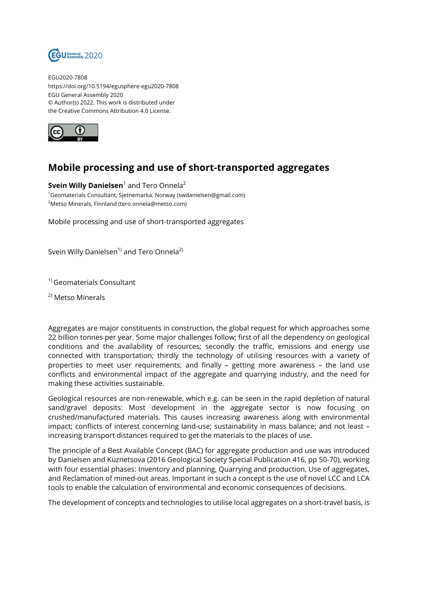

EGU2020-7808 https://doi.org/10.5194/egusphere-egu2020-7808 EGU General Assembly 2020 © Author(s) 2022. This work is distributed under the Creative Commons Attribution 4.0 License.



## **Mobile processing and use of short-transported aggregates**

 $\mathsf{Svein}$  Willy <code>Danielsen $^1$ </code> and <code>Tero Onnela $^2$ </code> <sup>1</sup>Geomaterials Consultant, Sietnemarka, Norway (swdanielsen@gmail.com) <sup>2</sup>Metso Minerals, Finnland (tero.onnela@metso.com)

Mobile processing and use of short-transported aggregates

Svein Willy Danielsen<sup>1)</sup> and Tero Onnela<sup>2)</sup>

1) Geomaterials Consultant

2) Metso Minerals

Aggregates are major constituents in construction, the global request for which approaches some 22 billion tonnes per year. Some major challenges follow; first of all the dependency on geological conditions and the availability of resources; secondly the traffic, emissions and energy use connected with transportation; thirdly the technology of utilising resources with a variety of properties to meet user requirements; and finally – getting more awareness – the land use conflicts and environmental impact of the aggregate and quarrying industry, and the need for making these activities sustainable.

Geological resources are non-renewable, which e.g. can be seen in the rapid depletion of natural sand/gravel deposits: Most development in the aggregate sector is now focusing on crushed/manufactured materials. This causes increasing awareness along with environmental impact; conflicts of interest concerning land-use; sustainability in mass balance; and not least – increasing transport distances required to get the materials to the places of use.

The principle of a Best Available Concept (BAC) for aggregate production and use was introduced by Danielsen and Kuznetsova (2016 Geological Society Special Publication 416, pp 50-70), working with four essential phases: Inventory and planning, Quarrying and production, Use of aggregates, and Reclamation of mined-out areas. Important in such a concept is the use of novel LCC and LCA tools to enable the calculation of environmental and economic consequences of decisions.

The development of concepts and technologies to utilise local aggregates on a short-travel basis, is